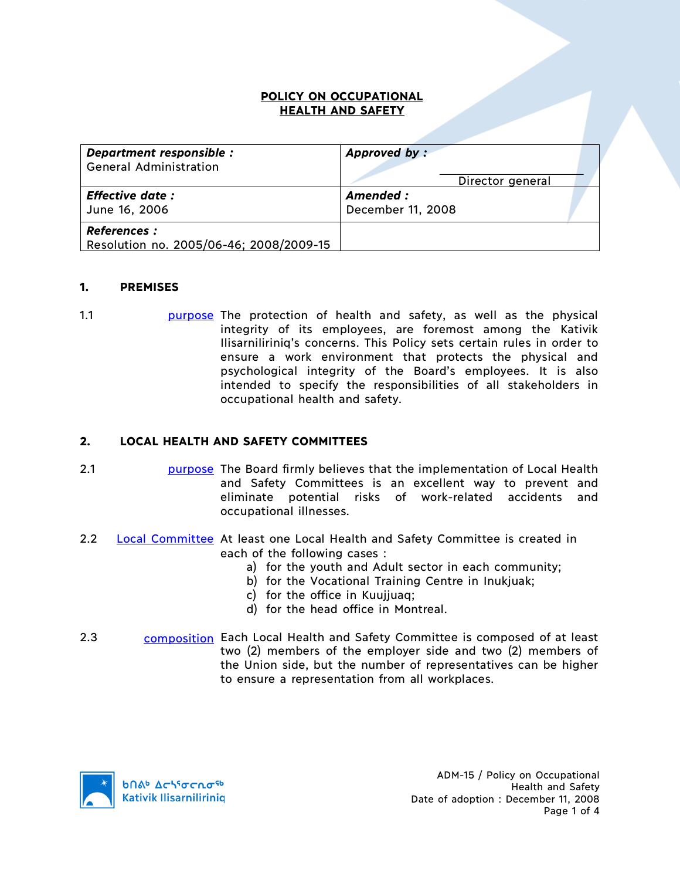#### **POLICY ON OCCUPATIONAL HEALTH AND SAFETY**

| Department responsible :<br><b>General Administration</b>     | Approved by:<br>Director general |  |
|---------------------------------------------------------------|----------------------------------|--|
| <b>Effective date:</b><br>June 16, 2006                       | Amended:<br>December 11, 2008    |  |
| <b>References:</b><br>Resolution no. 2005/06-46; 2008/2009-15 |                                  |  |

#### **1. PREMISES**

1.1 purpose The protection of health and safety, as well as the physical integrity of its employees, are foremost among the Kativik Ilisarniliriniq's concerns. This Policy sets certain rules in order to ensure a work environment that protects the physical and psychological integrity of the Board's employees. It is also intended to specify the responsibilities of all stakeholders in occupational health and safety.

## **2. LOCAL HEALTH AND SAFETY COMMITTEES**

- 2.1 purpose The Board firmly believes that the implementation of Local Health and Safety Committees is an excellent way to prevent and eliminate potential risks of work-related accidents and occupational illnesses.
- 2.2 Local Committee At least one Local Health and Safety Committee is created in each of the following cases :
	- a) for the youth and Adult sector in each community;
	- b) for the Vocational Training Centre in Inukjuak;
	- c) for the office in Kuujjuaq;
	- d) for the head office in Montreal.
- 2.3 composition Each Local Health and Safety Committee is composed of at least two (2) members of the employer side and two (2) members of the Union side, but the number of representatives can be higher to ensure a representation from all workplaces.

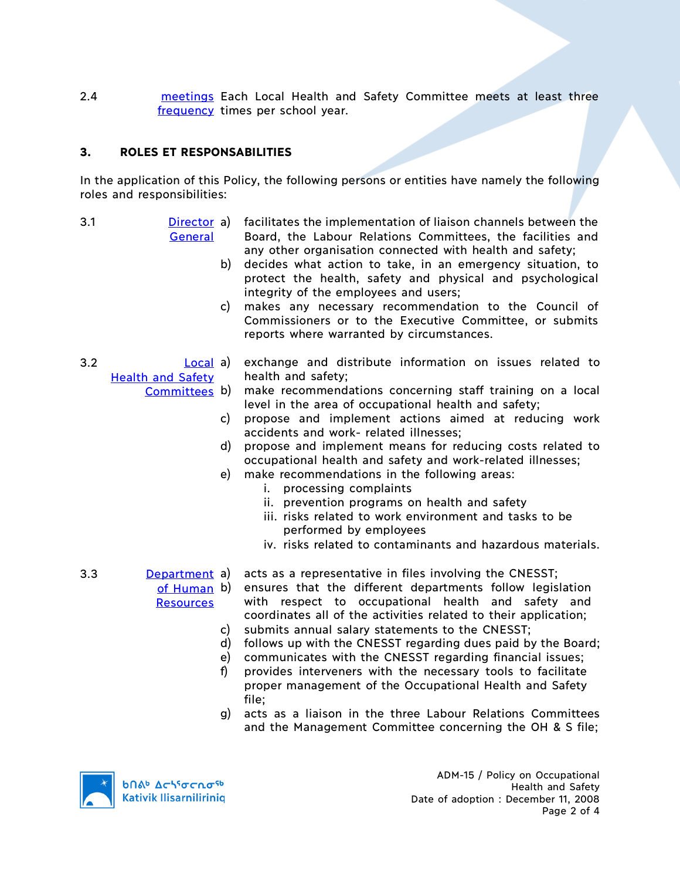2.4 **meetings Each Local Health and Safety Committee meets at least three** frequency times per school year.

## **3. ROLES ET RESPONSABILITIES**

In the application of this Policy, the following persons or entities have namely the following roles and responsibilities:

- 
- 3.1 Director **General** facilitates the implementation of liaison channels between the
	- Board, the Labour Relations Committees, the facilities and any other organisation connected with health and safety;
	- b) decides what action to take, in an emergency situation, to protect the health, safety and physical and psychological integrity of the employees and users;
	- c) makes any necessary recommendation to the Council of Commissioners or to the Executive Committee, or submits reports where warranted by circumstances.
- 3.2 **Local a** exchange and distribute information on issues related to Health and Safety health and safety;
	- Committees b) make recommendations concerning staff training on a local level in the area of occupational health and safety;
		- c) propose and implement actions aimed at reducing work accidents and work- related illnesses;
		- d) propose and implement means for reducing costs related to occupational health and safety and work-related illnesses;
		- e) make recommendations in the following areas:
			- i. processing complaints
			- ii. prevention programs on health and safety
			- iii. risks related to work environment and tasks to be performed by employees
			- iv. risks related to contaminants and hazardous materials.
- 3.3 Department **Resources** 
	- acts as a representative in files involving the CNESST;
	- of Human b) ensures that the different departments follow legislation with respect to occupational health and safety and coordinates all of the activities related to their application; c) submits annual salary statements to the CNESST;
		-
		- d) follows up with the CNESST regarding dues paid by the Board;
		- e) communicates with the CNESST regarding financial issues;
		- f) provides interveners with the necessary tools to facilitate proper management of the Occupational Health and Safety file;
		- g) acts as a liaison in the three Labour Relations Committees and the Management Committee concerning the OH & S file;



ADM-15 / Policy on Occupational Health and Safety Date of adoption : December 11, 2008 Page 2 of 4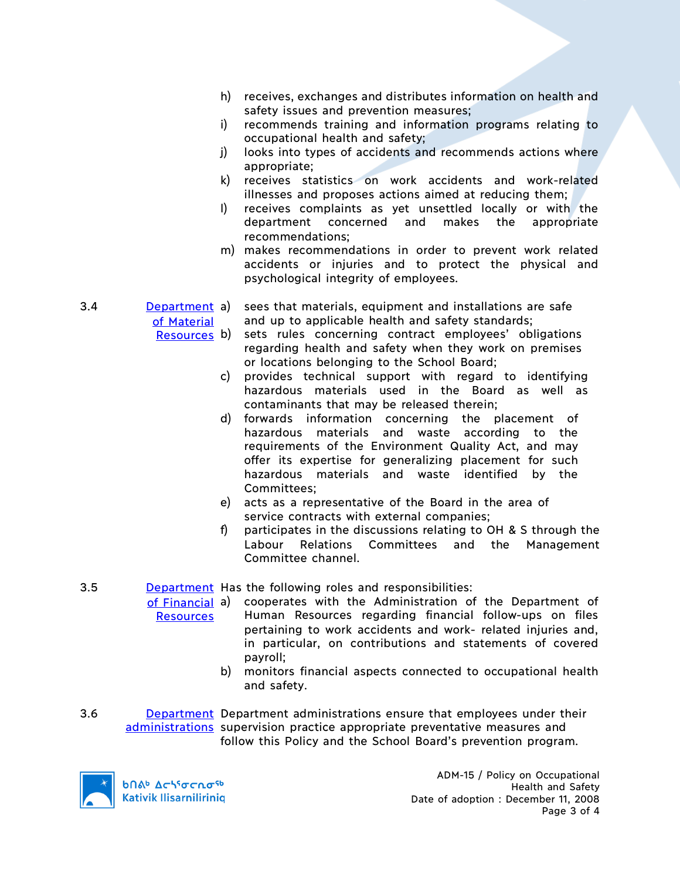- h) receives, exchanges and distributes information on health and safety issues and prevention measures;
- i) recommends training and information programs relating to occupational health and safety;
- j) looks into types of accidents and recommends actions where appropriate;
- k) receives statistics on work accidents and work-related illnesses and proposes actions aimed at reducing them;
- l) receives complaints as yet unsettled locally or with the department concerned and makes the appropriate recommendations;
- m) makes recommendations in order to prevent work related accidents or injuries and to protect the physical and psychological integrity of employees.
- 3.4 Department a) of Material sees that materials, equipment and installations are safe and up to applicable health and safety standards;
	- sets rules concerning contract employees' obligations regarding health and safety when they work on premises or locations belonging to the School Board;
		- c) provides technical support with regard to identifying hazardous materials used in the Board as well as contaminants that may be released therein;
		- d) forwards information concerning the placement of hazardous materials and waste according to the requirements of the Environment Quality Act, and may offer its expertise for generalizing placement for such hazardous materials and waste identified by the Committees;
		- e) acts as a representative of the Board in the area of service contracts with external companies;
		- f) participates in the discussions relating to OH & S through the Labour Relations Committees and the Management Committee channel.

## 3.5 **Department** Has the following roles and responsibilities:

- of Financial a) **Resources** a) cooperates with the Administration of the Department of Human Resources regarding financial follow-ups on files pertaining to work accidents and work- related injuries and, in particular, on contributions and statements of covered payroll;
	- b) monitors financial aspects connected to occupational health and safety.
- 3.6 **Department Department administrations ensure that employees under their** administrations supervision practice appropriate preventative measures and follow this Policy and the School Board's prevention program.



**b**በል<sup>b</sup> Δςιγσς κα<sup>ς 6</sup> Kativik Ilisarniliriniq

ADM-15 / Policy on Occupational Health and Safety Date of adoption : December 11, 2008 Page 3 of 4

Resources b)